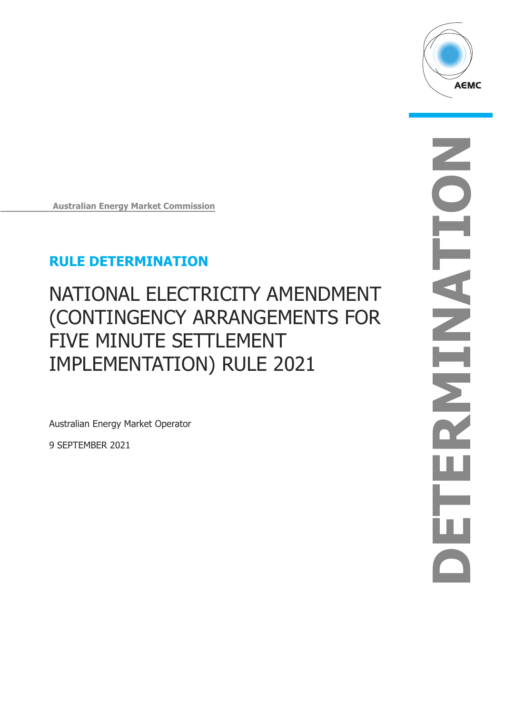

**Australian Energy Market Commission**

### **RULE DETERMINATION**

# NATIONAL ELECTRICITY AMENDMENT (CONTINGENCY ARRANGEMENTS FOR FIVE MINUTE SETTLEMENT IMPLEMENTATION) RULE 2021

Australian Energy Market Operator

9 SEPTEMBER 2021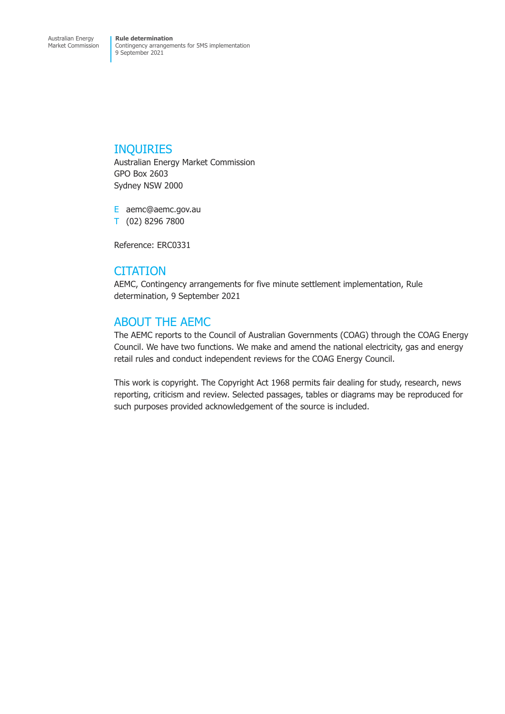#### INQUIRIES

Australian Energy Market Commission GPO Box 2603 Sydney NSW 2000

E aemc@aemc.gov.au T (02) 8296 7800

Reference: ERC0331

#### **CITATION**

AEMC, Contingency arrangements for five minute settlement implementation, Rule determination, 9 September 2021

### ABOUT THE AEMC

The AEMC reports to the Council of Australian Governments (COAG) through the COAG Energy Council. We have two functions. We make and amend the national electricity, gas and energy retail rules and conduct independent reviews for the COAG Energy Council.

This work is copyright. The Copyright Act 1968 permits fair dealing for study, research, news reporting, criticism and review. Selected passages, tables or diagrams may be reproduced for such purposes provided acknowledgement of the source is included.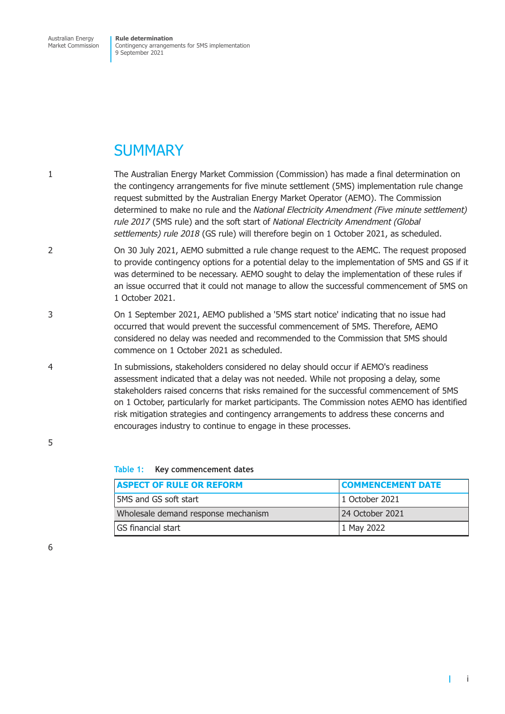### **SUMMARY**

- 1 The Australian Energy Market Commission (Commission) has made a final determination on the contingency arrangements for five minute settlement (5MS) implementation rule change request submitted by the Australian Energy Market Operator (AEMO). The Commission determined to make no rule and the *National Electricity Amendment (Five minute settlement) rule 2017* (5MS rule) and the soft start of *National Electricity Amendment (Global settlements) rule 2018* (GS rule) will therefore begin on 1 October 2021, as scheduled.
- 2 On 30 July 2021, AEMO submitted a rule change request to the AEMC. The request proposed to provide contingency options for a potential delay to the implementation of 5MS and GS if it was determined to be necessary. AEMO sought to delay the implementation of these rules if an issue occurred that it could not manage to allow the successful commencement of 5MS on 1 October 2021.
- 3 On 1 September 2021, AEMO published a '5MS start notice' indicating that no issue had occurred that would prevent the successful commencement of 5MS. Therefore, AEMO considered no delay was needed and recommended to the Commission that 5MS should commence on 1 October 2021 as scheduled.
- 4 In submissions, stakeholders considered no delay should occur if AEMO's readiness assessment indicated that a delay was not needed. While not proposing a delay, some stakeholders raised concerns that risks remained for the successful commencement of 5MS on 1 October, particularly for market participants. The Commission notes AEMO has identified risk mitigation strategies and contingency arrangements to address these concerns and encourages industry to continue to engage in these processes.

**Table 1: Key commencement dates**

| <b>ASPECT OF RULE OR REFORM</b>     | <b>COMMENCEMENT DATE</b> |
|-------------------------------------|--------------------------|
| 5MS and GS soft start               | 1 October 2021           |
| Wholesale demand response mechanism | 24 October 2021          |
| GS financial start                  | 1 May 2022               |

6

5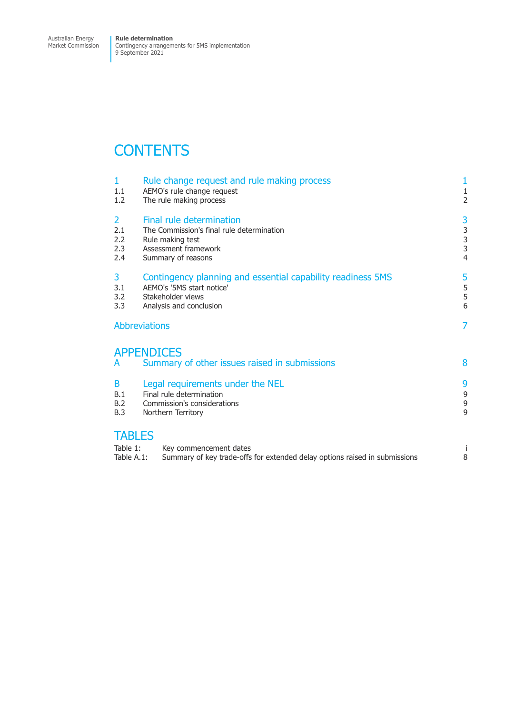Market Commission

Contingency arrangements for 5MS implementation 9 September 2021

## **CONTENTS**

| 1<br>1.1<br>1.2                                                                                                                             | Rule change request and rule making process<br>AEMO's rule change request<br>The rule making process                                     |                                                      |
|---------------------------------------------------------------------------------------------------------------------------------------------|------------------------------------------------------------------------------------------------------------------------------------------|------------------------------------------------------|
| $\overline{2}$<br>2.1<br>2.2<br>2.3<br>2.4                                                                                                  | Final rule determination<br>The Commission's final rule determination<br>Rule making test<br>Assessment framework<br>Summary of reasons  | 3<br>$\begin{array}{c} 3 \\ 3 \\ 3 \\ 4 \end{array}$ |
| 3.<br>3.1<br>3.2<br>3.3                                                                                                                     | Contingency planning and essential capability readiness 5MS<br>AEMO's '5MS start notice'<br>Stakeholder views<br>Analysis and conclusion |                                                      |
| <b>Abbreviations</b>                                                                                                                        |                                                                                                                                          | 7                                                    |
| A                                                                                                                                           | <b>APPENDICES</b><br>Summary of other issues raised in submissions                                                                       | 8                                                    |
| Legal requirements under the NEL<br>B<br>Final rule determination<br>B.1<br>Commission's considerations<br>B.2<br>B.3<br>Northern Territory |                                                                                                                                          | 9<br>9<br>9<br>9                                     |
| <b>TABLES</b><br>Table 1:<br>Table A.1:                                                                                                     | Key commencement dates<br>Summary of key trade-offs for extended delay options raised in submissions                                     | İ<br>8                                               |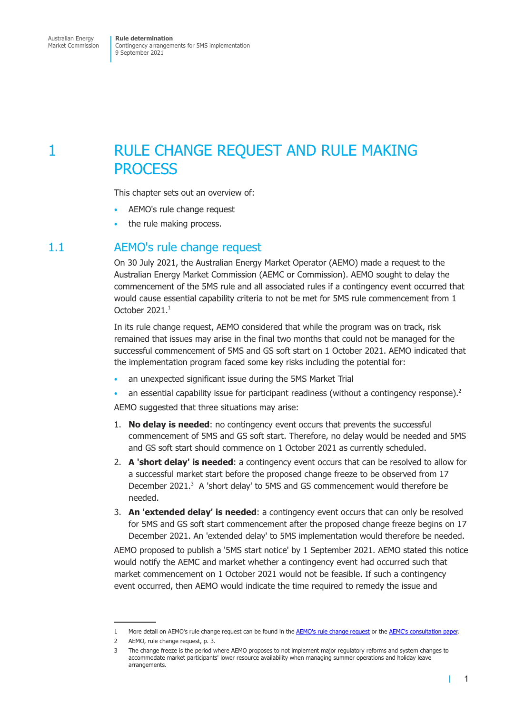<span id="page-4-0"></span>Contingency arrangements for 5MS implementation 9 September 2021

### 1 RULE CHANGE REQUEST AND RULE MAKING **PROCESS**

This chapter sets out an overview of:

- AEMO's rule change request
- the rule making process.

#### 1.1 AEMO's rule change request

On 30 July 2021, the Australian Energy Market Operator (AEMO) made a request to the Australian Energy Market Commission (AEMC or Commission). AEMO sought to delay the commencement of the 5MS rule and all associated rules if a contingency event occurred that would cause essential capability criteria to not be met for 5MS rule commencement from 1 October 2021.<sup>1</sup>

In its rule change request, AEMO considered that while the program was on track, risk remained that issues may arise in the final two months that could not be managed for the successful commencement of 5MS and GS soft start on 1 October 2021. AEMO indicated that the implementation program faced some key risks including the potential for:

- an unexpected significant issue during the 5MS Market Trial
- an essential capability issue for participant readiness (without a contingency response). $2$

AEMO suggested that three situations may arise:

- 1. **No delay is needed**: no contingency event occurs that prevents the successful commencement of 5MS and GS soft start. Therefore, no delay would be needed and 5MS and GS soft start should commence on 1 October 2021 as currently scheduled.
- 2. **A 'short delay' is needed**: a contingency event occurs that can be resolved to allow for a successful market start before the proposed change freeze to be observed from 17 December 2021.<sup>3</sup> A 'short delay' to 5MS and GS commencement would therefore be needed.
- 3. **An 'extended delay' is needed**: a contingency event occurs that can only be resolved for 5MS and GS soft start commencement after the proposed change freeze begins on 17 December 2021. An 'extended delay' to 5MS implementation would therefore be needed.

AEMO proposed to publish a '5MS start notice' by 1 September 2021. AEMO stated this notice would notify the AEMC and market whether a contingency event had occurred such that market commencement on 1 October 2021 would not be feasible. If such a contingency event occurred, then AEMO would indicate the time required to remedy the issue and

<sup>1</sup> More detail on AEMO's rule change request can be found in the AEMO's rule change request or the AEMC's consultation paper.

<sup>2</sup> AEMO, rule change request, p. 3.

<sup>3</sup> The change freeze is the period where AEMO proposes to not implement major regulatory reforms and system changes to accommodate market participants' lower resource availability when managing summer operations and holiday leave arrangements.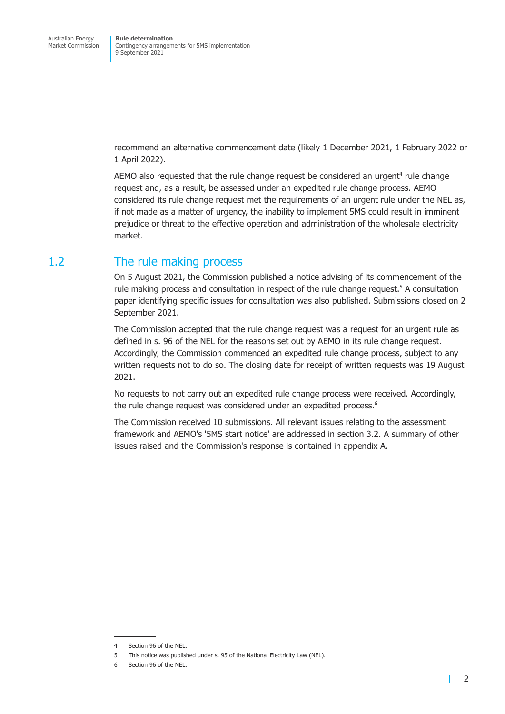<span id="page-5-0"></span>recommend an alternative commencement date (likely 1 December 2021, 1 February 2022 or 1 April 2022).

AEMO also requested that the rule change request be considered an urgent<sup>4</sup> rule change request and, as a result, be assessed under an expedited rule change process. AEMO considered its rule change request met the requirements of an urgent rule under the NEL as, if not made as a matter of urgency, the inability to implement 5MS could result in imminent prejudice or threat to the effective operation and administration of the wholesale electricity market.

#### 1.2 The rule making process

On 5 August 2021, the Commission published a notice advising of its commencement of the rule making process and consultation in respect of the rule change request.<sup>5</sup> A consultation paper identifying specific issues for consultation was also published. Submissions closed on 2 September 2021.

The Commission accepted that the rule change request was a request for an urgent rule as defined in s. 96 of the NEL for the reasons set out by AEMO in its rule change request. Accordingly, the Commission commenced an expedited rule change process, subject to any written requests not to do so. The closing date for receipt of written requests was 19 August 2021.

No requests to not carry out an expedited rule change process were received. Accordingly, the rule change request was considered under an expedited process.<sup>6</sup>

The Commission received 10 submissions. All relevant issues relating to the assessment framework and AEMO's '5MS start notice' are addressed in section 3.2. A summary of other issues raised and the Commission's response is contained in appendix A.

<sup>4</sup> Section 96 of the NEL.

<sup>5</sup> This notice was published under s. 95 of the National Electricity Law (NEL).

Section 96 of the NEL.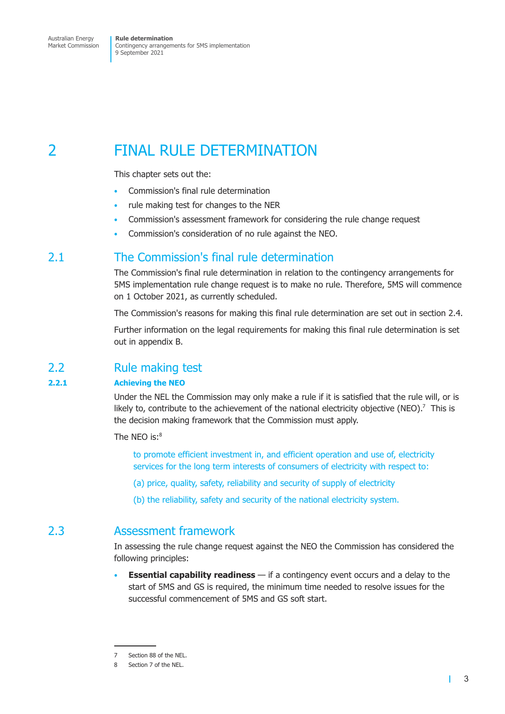<span id="page-6-0"></span>Market Commission

Contingency arrangements for 5MS implementation 9 September 2021

### 2 FINAL RULE DETERMINATION

This chapter sets out the:

- Commission's final rule determination
- rule making test for changes to the NER
- Commission's assessment framework for considering the rule change request
- Commission's consideration of no rule against the NEO.

#### 2.1 The Commission's final rule determination

The Commission's final rule determination in relation to the contingency arrangements for 5MS implementation rule change request is to make no rule. Therefore, 5MS will commence on 1 October 2021, as currently scheduled.

The Commission's reasons for making this final rule determination are set out in section 2.4.

Further information on the legal requirements for making this final rule determination is set out in appendix B.

#### 2.2 Rule making test

#### **2.2.1 Achie[ving the NEO](#page-12-1)**

Under the NEL the Commission may only make a rule if it is satisfied that the rule will, or is likely to, contribute to the achievement of the national electricity objective (NEO).<sup>7</sup> This is the decision making framework that the Commission must apply.

The NEO is:<sup>8</sup>

to promote efficient investment in, and efficient operation and use of, electricity services for the long term interests of consumers of electricity with respect to:

- (a) price, quality, safety, reliability and security of supply of electricity
- (b) the reliability, safety and security of the national electricity system.

### 2.3 Assessment framework

In assessing the rule change request against the NEO the Commission has considered the following principles:

• **Essential capability readiness** — if a contingency event occurs and a delay to the start of 5MS and GS is required, the minimum time needed to resolve issues for the successful commencement of 5MS and GS soft start.

<sup>7</sup> Section 88 of the NEL.

Section 7 of the NEL.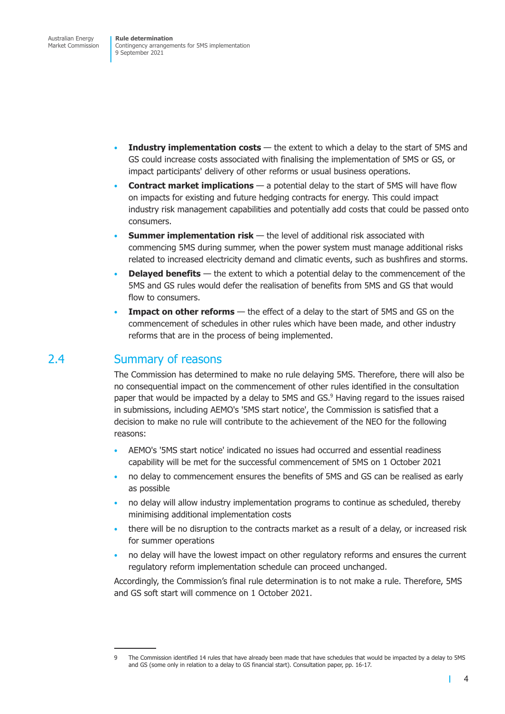- <span id="page-7-0"></span>**Industry implementation costs** — the extent to which a delay to the start of 5MS and GS could increase costs associated with finalising the implementation of 5MS or GS, or impact participants' delivery of other reforms or usual business operations.
- **Contract market implications**  a potential delay to the start of 5MS will have flow on impacts for existing and future hedging contracts for energy. This could impact industry risk management capabilities and potentially add costs that could be passed onto consumers.
- **Summer implementation risk** the level of additional risk associated with commencing 5MS during summer, when the power system must manage additional risks related to increased electricity demand and climatic events, such as bushfires and storms.
- **Delayed benefits** the extent to which a potential delay to the commencement of the 5MS and GS rules would defer the realisation of benefits from 5MS and GS that would flow to consumers.
- **Impact on other reforms** the effect of a delay to the start of 5MS and GS on the commencement of schedules in other rules which have been made, and other industry reforms that are in the process of being implemented.

#### 2.4 Summary of reasons

The Commission has determined to make no rule delaying 5MS. Therefore, there will also be no consequential impact on the commencement of other rules identified in the consultation paper that would be impacted by a delay to 5MS and GS.<sup>9</sup> Having regard to the issues raised in submissions, including AEMO's '5MS start notice', the Commission is satisfied that a decision to make no rule will contribute to the achievement of the NEO for the following reasons:

- AEMO's '5MS start notice' indicated no issues had occurred and essential readiness capability will be met for the successful commencement of 5MS on 1 October 2021
- no delay to commencement ensures the benefits of 5MS and GS can be realised as early as possible
- no delay will allow industry implementation programs to continue as scheduled, thereby minimising additional implementation costs
- there will be no disruption to the contracts market as a result of a delay, or increased risk for summer operations
- no delay will have the lowest impact on other regulatory reforms and ensures the current regulatory reform implementation schedule can proceed unchanged.

Accordingly, the Commission's final rule determination is to not make a rule. Therefore, 5MS and GS soft start will commence on 1 October 2021.

т

<sup>9</sup> The Commission identified 14 rules that have already been made that have schedules that would be impacted by a delay to 5MS and GS (some only in relation to a delay to GS financial start). Consultation paper, pp. 16-17.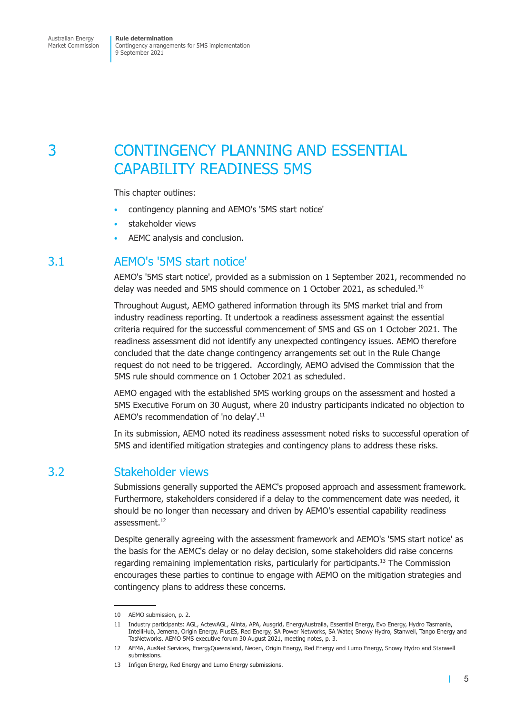## <span id="page-8-0"></span>3 CONTINGENCY PLANNING AND ESSENTIAL CAPABILITY READINESS 5MS

This chapter outlines:

- contingency planning and AEMO's '5MS start notice'
- stakeholder views
- AEMC analysis and conclusion.

#### 3.1 AEMO's '5MS start notice'

AEMO's '5MS start notice', provided as a submission on 1 September 2021, recommended no delay was needed and 5MS should commence on 1 October 2021, as scheduled.<sup>10</sup>

Throughout August, AEMO gathered information through its 5MS market trial and from industry readiness reporting. It undertook a readiness assessment against the essential criteria required for the successful commencement of 5MS and GS on 1 October 2021. The readiness assessment did not identify any unexpected contingency issues. AEMO therefore concluded that the date change contingency arrangements set out in the Rule Change request do not need to be triggered. Accordingly, AEMO advised the Commission that the 5MS rule should commence on 1 October 2021 as scheduled.

AEMO engaged with the established 5MS working groups on the assessment and hosted a 5MS Executive Forum on 30 August, where 20 industry participants indicated no objection to AEMO's recommendation of 'no delay'.<sup>11</sup>

In its submission, AEMO noted its readiness assessment noted risks to successful operation of 5MS and identified mitigation strategies and contingency plans to address these risks.

#### 3.2 Stakeholder views

Submissions generally supported the AEMC's proposed approach and assessment framework. Furthermore, stakeholders considered if a delay to the commencement date was needed, it should be no longer than necessary and driven by AEMO's essential capability readiness assessment.<sup>12</sup>

Despite generally agreeing with the assessment framework and AEMO's '5MS start notice' as the basis for the AEMC's delay or no delay decision, some stakeholders did raise concerns regarding remaining implementation risks, particularly for participants.<sup>13</sup> The Commission encourages these parties to continue to engage with AEMO on the mitigation strategies and contingency plans to address these concerns.

т

<sup>10</sup> AEMO submission, p. 2.

<sup>11</sup> Industry participants: AGL, ActewAGL, Alinta, APA, Ausgrid, EnergyAustraila, Essential Energy, Evo Energy, Hydro Tasmania, IntelliHub, Jemena, Origin Energy, PlusES, Red Energy, SA Power Networks, SA Water, Snowy Hydro, Stanwell, Tango Energy and TasNetworks. AEMO 5MS executive forum 30 August 2021, meeting notes, p. 3.

<sup>12</sup> AFMA, AusNet Services, EnergyQueensland, Neoen, Origin Energy, Red Energy and Lumo Energy, Snowy Hydro and Stanwell submissions.

<sup>13</sup> Infigen Energy, Red Energy and Lumo Energy submissions.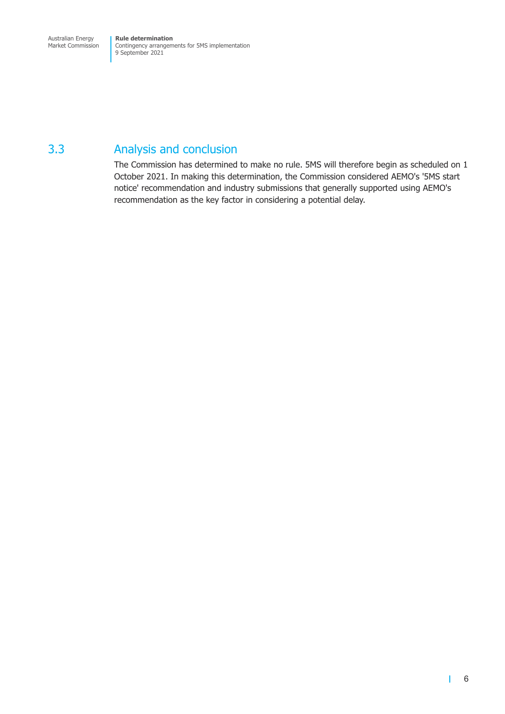### <span id="page-9-0"></span>3.3 Analysis and conclusion

The Commission has determined to make no rule. 5MS will therefore begin as scheduled on 1 October 2021. In making this determination, the Commission considered AEMO's '5MS start notice' recommendation and industry submissions that generally supported using AEMO's recommendation as the key factor in considering a potential delay.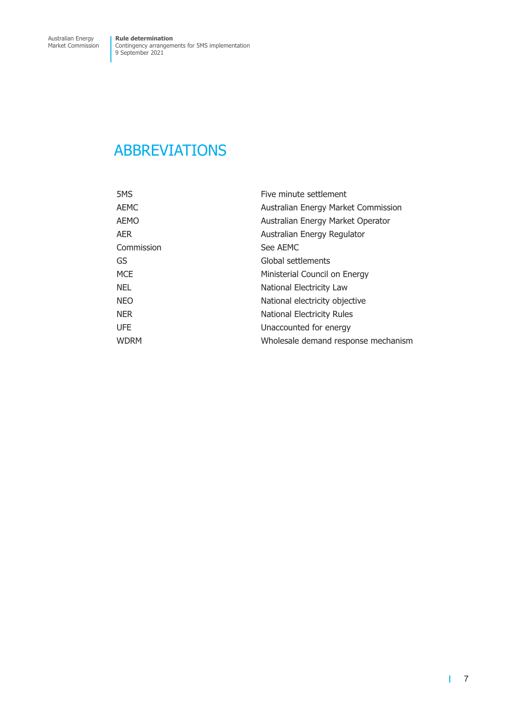### <span id="page-10-0"></span>ABBREVIATIONS

| 5MS         | Five minute settlement              |
|-------------|-------------------------------------|
| <b>AEMC</b> | Australian Energy Market Commission |
| <b>AEMO</b> | Australian Energy Market Operator   |
| <b>AER</b>  | Australian Energy Regulator         |
| Commission  | See AEMC                            |
| GS          | Global settlements                  |
| <b>MCE</b>  | Ministerial Council on Energy       |
| <b>NEL</b>  | National Electricity Law            |
| <b>NEO</b>  | National electricity objective      |
| <b>NER</b>  | National Electricity Rules          |
| <b>UFE</b>  | Unaccounted for energy              |
| <b>WDRM</b> | Wholesale demand response mechanism |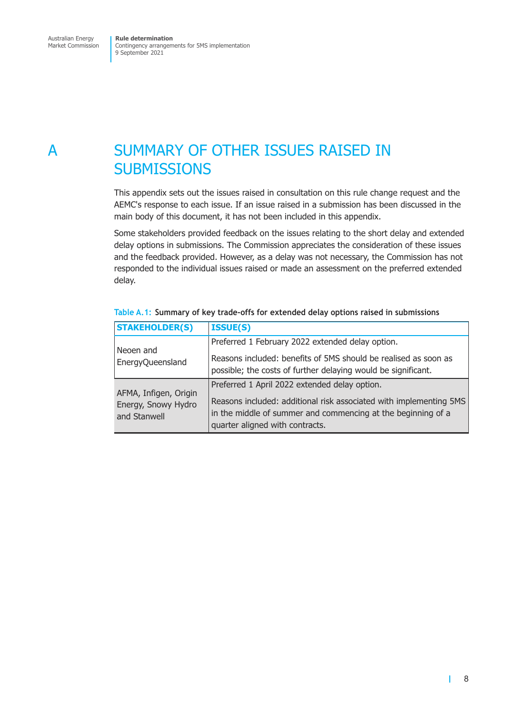## <span id="page-11-0"></span>A SUMMARY OF OTHER ISSUES RAISED IN **SUBMISSIONS**

This appendix sets out the issues raised in consultation on this rule change request and the AEMC's response to each issue. If an issue raised in a submission has been discussed in the main body of this document, it has not been included in this appendix.

Some stakeholders provided feedback on the issues relating to the short delay and extended delay options in submissions. The Commission appreciates the consideration of these issues and the feedback provided. However, as a delay was not necessary, the Commission has not responded to the individual issues raised or made an assessment on the preferred extended delay.

| <b>STAKEHOLDER(S)</b>                                        | <b>ISSUE(S)</b>                                                                                                                                                       |
|--------------------------------------------------------------|-----------------------------------------------------------------------------------------------------------------------------------------------------------------------|
|                                                              | Preferred 1 February 2022 extended delay option.                                                                                                                      |
| Neoen and<br>EnergyQueensland                                | Reasons included: benefits of 5MS should be realised as soon as<br>possible; the costs of further delaying would be significant.                                      |
|                                                              | Preferred 1 April 2022 extended delay option.                                                                                                                         |
| AFMA, Infigen, Origin<br>Energy, Snowy Hydro<br>and Stanwell | Reasons included: additional risk associated with implementing 5MS<br>in the middle of summer and commencing at the beginning of a<br>quarter aligned with contracts. |

#### **Table A.1: Summary of key trade-offs for extended delay options raised in submissions**